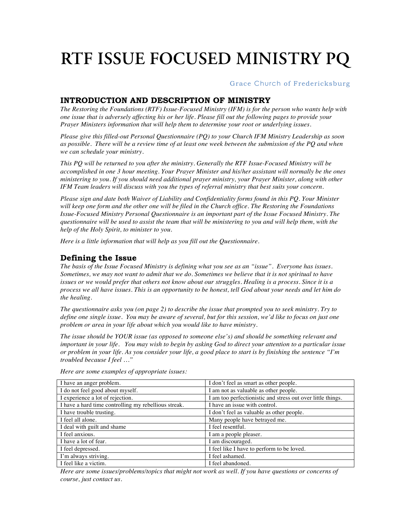# **RTF ISSUE FOCUSED MINISTRY PQ**

#### Grace Church of Fredericksburg

#### **INTRODUCTION AND DESCRIPTION OF MINISTRY**

*The Restoring the Foundations (RTF) Issue-Focused Ministry (IFM) is for the person who wants help with one issue that is adversely affecting his or her life. Please fill out the following pages to provide your Prayer Ministers information that will help them to determine your root or underlying issues.* 

*Please give this filled-out Personal Questionnaire (PQ) to your Church IFM Ministry Leadership as soon as possible. There will be a review time of at least one week between the submission of the PQ and when we can schedule your ministry.* 

*This PQ will be returned to you after the ministry. Generally the RTF Issue-Focused Ministry will be accomplished in one 3 hour meeting. Your Prayer Minister and his/her assistant will normally be the ones ministering to you. If you should need additional prayer ministry, your Prayer Minister, along with other IFM Team leaders will discuss with you the types of referral ministry that best suits your concern.*

*Please sign and date both Waiver of Liability and Confidentiality forms found in this PQ. Your Minister will keep one form and the other one will be filed in the Church office. The Restoring the Foundations Issue-Focused Ministry Personal Questionnaire is an important part of the Issue Focused Ministry. The questionnaire will be used to assist the team that will be ministering to you and will help them, with the help of the Holy Spirit, to minister to you.* 

*Here is a little information that will help as you fill out the Questionnaire.*

#### **Defining the Issue**

*The basis of the Issue Focused Ministry is defining what you see as an "issue". Everyone has issues. Sometimes, we may not want to admit that we do. Sometimes we believe that it is not spiritual to have issues or we would prefer that others not know about our struggles. Healing is a process. Since it is a process we all have issues. This is an opportunity to be honest, tell God about your needs and let him do the healing.*

*The questionnaire asks you (on page 2) to describe the issue that prompted you to seek ministry. Try to define one single issue. You may be aware of several, but for this session, we'd like to focus on just one problem or area in your life about which you would like to have ministry.* 

*The issue should be YOUR issue (as opposed to someone else's) and should be something relevant and important in your life. You may wish to begin by asking God to direct your attention to a particular issue or problem in your life. As you consider your life, a good place to start is by finishing the sentence "I'm troubled because I feel …"* 

| I have an anger problem.                             | I don't feel as smart as other people.                      |
|------------------------------------------------------|-------------------------------------------------------------|
| I do not feel good about myself.                     | I am not as valuable as other people.                       |
| I experience a lot of rejection.                     | I am too perfectionistic and stress out over little things. |
| I have a hard time controlling my rebellious streak. | I have an issue with control.                               |
| I have trouble trusting.                             | I don't feel as valuable as other people.                   |
| I feel all alone.                                    | Many people have betrayed me.                               |
| I deal with guilt and shame                          | I feel resentful.                                           |
| I feel anxious.                                      | I am a people pleaser.                                      |
| I have a lot of fear.                                | I am discouraged.                                           |
| I feel depressed.                                    | I feel like I have to perform to be loved.                  |
| I'm always striving.                                 | I feel ashamed.                                             |
| I feel like a victim.                                | I feel abandoned.                                           |

*Here are some examples of appropriate issues:*

*Here are some issues/problems/topics that might not work as well. If you have questions or concerns of course, just contact us.*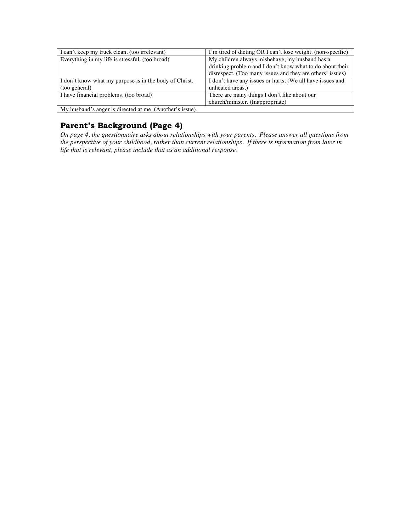| I can't keep my truck clean. (too irrelevant)            | I'm tired of dieting OR I can't lose weight. (non-specific) |  |  |  |  |
|----------------------------------------------------------|-------------------------------------------------------------|--|--|--|--|
| Everything in my life is stressful. (too broad)          | My children always misbehave, my husband has a              |  |  |  |  |
|                                                          | drinking problem and I don't know what to do about their    |  |  |  |  |
|                                                          | disrespect. (Too many issues and they are others' issues)   |  |  |  |  |
| I don't know what my purpose is in the body of Christ.   | I don't have any issues or hurts. (We all have issues and   |  |  |  |  |
| (too general)                                            | unhealed areas.)                                            |  |  |  |  |
| I have financial problems. (too broad)                   | There are many things I don't like about our                |  |  |  |  |
|                                                          | church/minister. (Inappropriate)                            |  |  |  |  |
| My husband's anger is directed at me. (Another's issue). |                                                             |  |  |  |  |

## **Parent's Background (Page 4)**

*On page 4, the questionnaire asks about relationships with your parents. Please answer all questions from the perspective of your childhood, rather than current relationships. If there is information from later in life that is relevant, please include that as an additional response.*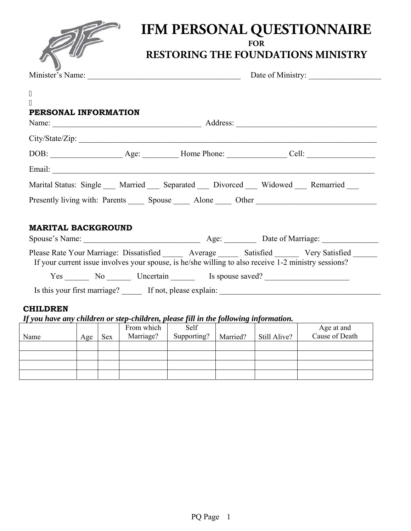

# **IFM PERSONAL QUESTIONNAIRE FOR**

**RESTORING THE FOUNDATIONS MINISTRY** 

| $^{\prime\prime}$                                                                           |              |            |                                                                                      |  |                                                                                                         |
|---------------------------------------------------------------------------------------------|--------------|------------|--------------------------------------------------------------------------------------|--|---------------------------------------------------------------------------------------------------------|
| $^{\prime\prime}$                                                                           |              |            |                                                                                      |  |                                                                                                         |
| PERSONAL INFORMATION                                                                        |              |            |                                                                                      |  |                                                                                                         |
|                                                                                             |              |            |                                                                                      |  |                                                                                                         |
|                                                                                             |              |            | City/State/Zip:                                                                      |  |                                                                                                         |
|                                                                                             |              |            |                                                                                      |  |                                                                                                         |
|                                                                                             |              |            |                                                                                      |  |                                                                                                         |
|                                                                                             |              |            |                                                                                      |  |                                                                                                         |
|                                                                                             |              |            |                                                                                      |  |                                                                                                         |
| Marital Status: Single ___ Married ___ Separated ___ Divorced ___ Widowed ___ Remarried ___ |              |            |                                                                                      |  |                                                                                                         |
|                                                                                             |              |            |                                                                                      |  | Presently living with: Parents _______ Spouse _______ Alone ______ Other ___________________________    |
|                                                                                             |              |            |                                                                                      |  |                                                                                                         |
| <b>MARITAL BACKGROUND</b>                                                                   |              |            |                                                                                      |  |                                                                                                         |
|                                                                                             |              |            |                                                                                      |  |                                                                                                         |
|                                                                                             |              |            |                                                                                      |  | Please Rate Your Marriage: Dissatisfied _______ Average _______ Satisfied _______ Very Satisfied ______ |
|                                                                                             |              |            |                                                                                      |  | If your current issue involves your spouse, is he/she willing to also receive 1-2 ministry sessions?    |
|                                                                                             |              |            |                                                                                      |  | Yes No Uncertain Is spouse saved?                                                                       |
|                                                                                             |              |            |                                                                                      |  |                                                                                                         |
|                                                                                             |              |            |                                                                                      |  |                                                                                                         |
| <b>CHILDREN</b>                                                                             |              |            |                                                                                      |  |                                                                                                         |
|                                                                                             |              |            | If you have any children or step-children, please fill in the following information. |  |                                                                                                         |
| Name                                                                                        | $Age \,$ Sex | From which | Self<br>Marriage?   Supporting?   Married?   Still Alive?                            |  | Age at and<br>Cause of Death                                                                            |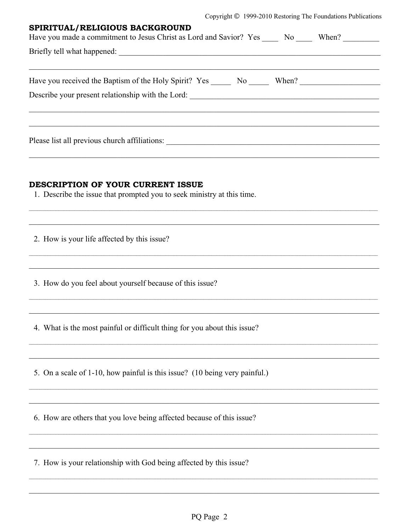Copyright © 1999-2010 Restoring The Foundations Publications

| SPIRITUAL/ RELIGIUUS BACRGROUND<br>Have you made a commitment to Jesus Christ as Lord and Savior? Yes No When? |  |  |  |  |  |  |  |
|----------------------------------------------------------------------------------------------------------------|--|--|--|--|--|--|--|
|                                                                                                                |  |  |  |  |  |  |  |
| Have you received the Baptism of the Holy Spirit? Yes No When?                                                 |  |  |  |  |  |  |  |
| Describe your present relationship with the Lord: _______________________________                              |  |  |  |  |  |  |  |
|                                                                                                                |  |  |  |  |  |  |  |
| Please list all previous church affiliations:                                                                  |  |  |  |  |  |  |  |

#### DESCRIPTION OF YOUR CURRENT ISSUE

CRIBIMILAT / BRI IOIOIIC BAOIZOBOIINI

1. Describe the issue that prompted you to seek ministry at this time.

2. How is your life affected by this issue?

3. How do you feel about yourself because of this issue?

4. What is the most painful or difficult thing for you about this issue?

5. On a scale of 1-10, how painful is this issue? (10 being very painful.)

6. How are others that you love being affected because of this issue?

7. How is your relationship with God being affected by this issue?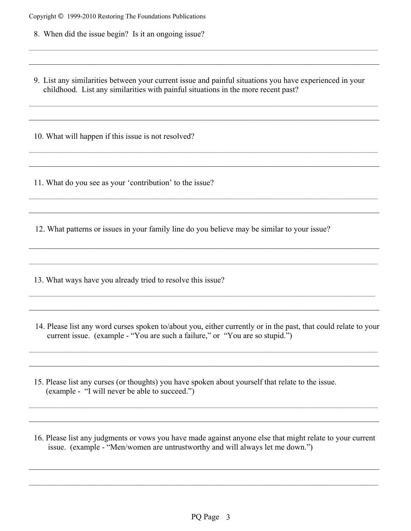Copyright © 1999-2010 Restoring The Foundations Publications

- 8. When did the issue begin? Is it an ongoing issue?
- 9. List any similarities between your current issue and painful situations you have experienced in your childhood. List any similarities with painful situations in the more recent past?

 $\ldots$  . The contribution of the contribution of the contribution of the contribution of the contribution of the contribution of the contribution of the contribution of the contribution of the contribution of the contribut \_\_\_\_\_\_\_\_\_\_\_\_\_\_\_\_\_\_\_\_\_\_\_\_\_\_\_\_\_\_\_\_\_\_\_\_\_\_\_\_\_\_\_\_\_\_\_\_\_\_\_\_\_\_\_\_\_\_\_\_\_\_\_\_\_\_\_\_\_\_\_\_\_\_\_\_\_\_\_\_\_\_\_\_\_\_\_

 $\ldots$  . The contribution of the contribution of the contribution of the contribution of the contribution of the contribution of the contribution of the contribution of the contribution of the contribution of the contribut \_\_\_\_\_\_\_\_\_\_\_\_\_\_\_\_\_\_\_\_\_\_\_\_\_\_\_\_\_\_\_\_\_\_\_\_\_\_\_\_\_\_\_\_\_\_\_\_\_\_\_\_\_\_\_\_\_\_\_\_\_\_\_\_\_\_\_\_\_\_\_\_\_\_\_\_\_\_\_\_\_\_\_\_\_\_\_

 $\mathcal{L}_\mathcal{L} = \{ \mathcal{L}_\mathcal{L} = \{ \mathcal{L}_\mathcal{L} = \{ \mathcal{L}_\mathcal{L} = \{ \mathcal{L}_\mathcal{L} = \{ \mathcal{L}_\mathcal{L} = \{ \mathcal{L}_\mathcal{L} = \{ \mathcal{L}_\mathcal{L} = \{ \mathcal{L}_\mathcal{L} = \{ \mathcal{L}_\mathcal{L} = \{ \mathcal{L}_\mathcal{L} = \{ \mathcal{L}_\mathcal{L} = \{ \mathcal{L}_\mathcal{L} = \{ \mathcal{L}_\mathcal{L} = \{ \mathcal{L}_\mathcal{$ \_\_\_\_\_\_\_\_\_\_\_\_\_\_\_\_\_\_\_\_\_\_\_\_\_\_\_\_\_\_\_\_\_\_\_\_\_\_\_\_\_\_\_\_\_\_\_\_\_\_\_\_\_\_\_\_\_\_\_\_\_\_\_\_\_\_\_\_\_\_\_\_\_\_\_\_\_\_\_\_\_\_\_\_\_\_\_

\_\_\_\_\_\_\_\_\_\_\_\_\_\_\_\_\_\_\_\_\_\_\_\_\_\_\_\_\_\_\_\_\_\_\_\_\_\_\_\_\_\_\_\_\_\_\_\_\_\_\_\_\_\_\_\_\_\_\_\_\_\_\_\_\_\_\_\_\_\_\_\_\_\_\_\_\_\_\_\_\_\_\_\_\_\_\_

 $\ldots$  . The contribution of the contribution of the contribution of the contribution of the contribution of the contribution of the contribution of the contribution of the contribution of the contribution of the contribut

 $\ldots$  . The contribution of the contribution of the contribution of the contribution of the contribution of the contribution of the contribution of the contribution of the contribution of the contribution of the contribut \_\_\_\_\_\_\_\_\_\_\_\_\_\_\_\_\_\_\_\_\_\_\_\_\_\_\_\_\_\_\_\_\_\_\_\_\_\_\_\_\_\_\_\_\_\_\_\_\_\_\_\_\_\_\_\_\_\_\_\_\_\_\_\_\_\_\_\_\_\_\_\_\_\_\_\_\_\_\_\_\_\_\_\_\_\_\_

 $\mathcal{L}_\mathcal{L} = \{ \mathcal{L}_\mathcal{L} = \{ \mathcal{L}_\mathcal{L} = \{ \mathcal{L}_\mathcal{L} = \{ \mathcal{L}_\mathcal{L} = \{ \mathcal{L}_\mathcal{L} = \{ \mathcal{L}_\mathcal{L} = \{ \mathcal{L}_\mathcal{L} = \{ \mathcal{L}_\mathcal{L} = \{ \mathcal{L}_\mathcal{L} = \{ \mathcal{L}_\mathcal{L} = \{ \mathcal{L}_\mathcal{L} = \{ \mathcal{L}_\mathcal{L} = \{ \mathcal{L}_\mathcal{L} = \{ \mathcal{L}_\mathcal{$ \_\_\_\_\_\_\_\_\_\_\_\_\_\_\_\_\_\_\_\_\_\_\_\_\_\_\_\_\_\_\_\_\_\_\_\_\_\_\_\_\_\_\_\_\_\_\_\_\_\_\_\_\_\_\_\_\_\_\_\_\_\_\_\_\_\_\_\_\_\_\_\_\_\_\_\_\_\_\_\_\_\_\_\_\_\_\_

10. What will happen if this issue is not resolved?

11. What do you see as your 'contribution' to the issue?

12. What patterns or issues in your family line do you believe may be similar to your issue?

13. What ways have you already tried to resolve this issue?

 14. Please list any word curses spoken to/about you, either currently or in the past, that could relate to your current issue. (example - "You are such a failure," or "You are so stupid.")

 $\mathcal{L}_\mathcal{L} = \{ \mathcal{L}_\mathcal{L} = \{ \mathcal{L}_\mathcal{L} = \{ \mathcal{L}_\mathcal{L} = \{ \mathcal{L}_\mathcal{L} = \{ \mathcal{L}_\mathcal{L} = \{ \mathcal{L}_\mathcal{L} = \{ \mathcal{L}_\mathcal{L} = \{ \mathcal{L}_\mathcal{L} = \{ \mathcal{L}_\mathcal{L} = \{ \mathcal{L}_\mathcal{L} = \{ \mathcal{L}_\mathcal{L} = \{ \mathcal{L}_\mathcal{L} = \{ \mathcal{L}_\mathcal{L} = \{ \mathcal{L}_\mathcal{$ \_\_\_\_\_\_\_\_\_\_\_\_\_\_\_\_\_\_\_\_\_\_\_\_\_\_\_\_\_\_\_\_\_\_\_\_\_\_\_\_\_\_\_\_\_\_\_\_\_\_\_\_\_\_\_\_\_\_\_\_\_\_\_\_\_\_\_\_\_\_\_\_\_\_\_\_\_\_\_\_\_\_\_\_\_\_\_

15. Please list any curses (or thoughts) you have spoken about yourself that relate to the issue. (example - "I will never be able to succeed.")

16. Please list any judgments or vows you have made against anyone else that might relate to your current issue. (example - "Men/women are untrustworthy and will always let me down.")

\_\_\_\_\_\_\_\_\_\_\_\_\_\_\_\_\_\_\_\_\_\_\_\_\_\_\_\_\_\_\_\_\_\_\_\_\_\_\_\_\_\_\_\_\_\_\_\_\_\_\_\_\_\_\_\_\_\_\_\_\_\_\_\_\_\_\_\_\_\_\_\_\_\_\_\_\_\_\_\_\_\_\_\_\_\_\_

\_\_\_\_\_\_\_\_\_\_\_\_\_\_\_\_\_\_\_\_\_\_\_\_\_\_\_\_\_\_\_\_\_\_\_\_\_\_\_\_\_\_\_\_\_\_\_\_\_\_\_\_\_\_\_\_\_\_\_\_\_\_\_\_\_\_\_\_\_\_\_\_\_\_\_\_\_\_\_\_\_\_\_\_\_\_\_\_\_\_\_\_\_\_\_\_\_\_\_\_\_\_\_\_

 $\ldots$  . The contribution of the contribution of the contribution of the contribution of the contribution of the contribution of the contribution of the contribution of the contribution of the contribution of the contribut \_\_\_\_\_\_\_\_\_\_\_\_\_\_\_\_\_\_\_\_\_\_\_\_\_\_\_\_\_\_\_\_\_\_\_\_\_\_\_\_\_\_\_\_\_\_\_\_\_\_\_\_\_\_\_\_\_\_\_\_\_\_\_\_\_\_\_\_\_\_\_\_\_\_\_\_\_\_\_\_\_\_\_\_\_\_\_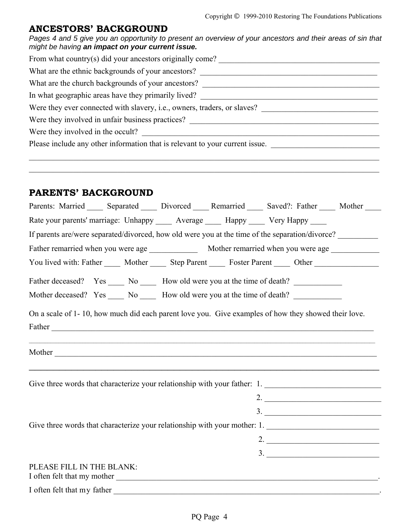## **ANCESTORS' BACKGROUND**

*Pages 4 and 5 give you an opportunity to present an overview of your ancestors and their areas of sin that might be having an impact on your current issue.*

| From what country(s) did your ancestors originally come?                         |
|----------------------------------------------------------------------------------|
| What are the ethnic backgrounds of your ancestors?                               |
| What are the church backgrounds of your ancestors?                               |
| In what geographic areas have they primarily lived?                              |
| Were they ever connected with slavery, <i>i.e.</i> , owners, traders, or slaves? |
| Were they involved in unfair business practices?                                 |
| Were they involved in the occult?                                                |
| Please include any other information that is relevant to your current issue.     |
|                                                                                  |

\_\_\_\_\_\_\_\_\_\_\_\_\_\_\_\_\_\_\_\_\_\_\_\_\_\_\_\_\_\_\_\_\_\_\_\_\_\_\_\_\_\_\_\_\_\_\_\_\_\_\_\_\_\_\_\_\_\_\_\_\_\_\_\_\_\_\_\_\_\_\_\_\_\_\_\_\_\_\_\_\_\_\_\_\_\_\_

# **PARENTS' BACKGROUND**

| Parents: Married ______ Separated ______ Divorced _____ Remarried _____ Saved?: Father _____ Mother _____ |    |
|-----------------------------------------------------------------------------------------------------------|----|
| Rate your parents' marriage: Unhappy ______ Average ______ Happy _____ Very Happy _____                   |    |
| If parents are/were separated/divorced, how old were you at the time of the separation/divorce?           |    |
|                                                                                                           |    |
| You lived with: Father Mother Step Parent Foster Parent Other Communism                                   |    |
| Father deceased? Yes ______ No _______ How old were you at the time of death? _____________________       |    |
| Mother deceased? Yes _____ No ______ How old were you at the time of death? _______________________       |    |
| On a scale of 1-10, how much did each parent love you. Give examples of how they showed their love.       |    |
|                                                                                                           |    |
| ,我们的人们也不能在这里的人们,我们也不能在这里的人们,我们也不能在这里的人们,我们也不能在这里的人们,我们也不能在这里的人们,我们也不能在这里的人们,我们也不能                         |    |
|                                                                                                           |    |
|                                                                                                           | 2. |
|                                                                                                           | 3. |
| Give three words that characterize your relationship with your mother: 1.                                 |    |
|                                                                                                           | 2. |
|                                                                                                           |    |
| PLEASE FILL IN THE BLANK:                                                                                 |    |
| I often felt that my father                                                                               |    |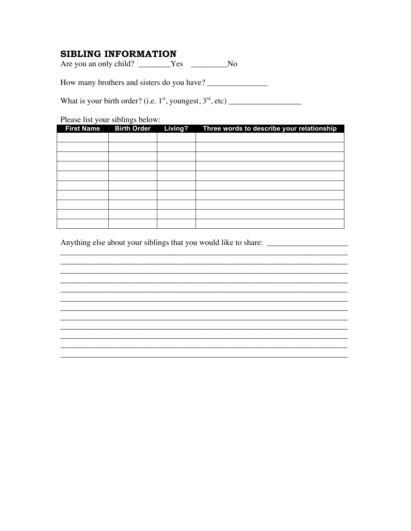### **SIBLING INFORMATION**

Are you an only child? \_\_\_\_\_\_\_\_\_Yes \_\_\_\_\_\_\_\_\_\_\_\_\_\_No

How many brothers and sisters do you have?

Please list your siblings below:

| <b>First Name</b> | <b>Birth Order</b> | Living? | Three words to describe your relationship |
|-------------------|--------------------|---------|-------------------------------------------|
|                   |                    |         |                                           |
|                   |                    |         |                                           |
|                   |                    |         |                                           |
|                   |                    |         |                                           |
|                   |                    |         |                                           |
|                   |                    |         |                                           |
|                   |                    |         |                                           |
|                   |                    |         |                                           |
|                   |                    |         |                                           |
|                   |                    |         |                                           |

Anything else about your siblings that you would like to share: \_\_\_\_\_\_\_\_\_\_\_\_\_\_\_\_\_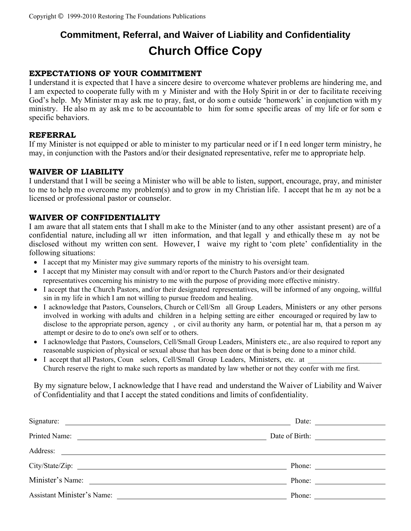# **Commitment, Referral, and Waiver of Liability and Confidentiality Church Office Copy**

#### **EXPECTATIONS OF YOUR COMMITMENT**

I understand it is expected that I have a sincere desire to overcome whatever problems are hindering me, and I am expected to cooperate fully with m y Minister and with the Holy Spirit in or der to facilitate receiving God's help. My Minister m ay ask me to pray, fast, or do som e outside 'homework' in conjunction with my ministry. He also m ay ask me to be accountable to him for some specific areas of my life or for some specific behaviors.

#### **REFERRAL**

If my Minister is not equipped or able to minister to my particular need or if I n eed longer term ministry, he may, in conjunction with the Pastors and/or their designated representative, refer me to appropriate help.

#### **WAIVER OF LIABILITY**

I understand that I will be seeing a Minister who will be able to listen, support, encourage, pray, and minister to me to help me overcome my problem(s) and to grow in my Christian life. I accept that he m ay not be a licensed or professional pastor or counselor.

#### **WAIVER OF CONFIDENTIALITY**

I am aware that all statem ents that I shall m ake to the Minister (and to any other assistant present) are of a confidential nature, including all wr itten information, and that legall y and ethically these m ay not be disclosed without my written con sent. However, I waive my right to 'com plete' confidentiality in the following situations:

- I accept that my Minister may give summary reports of the ministry to his oversight team.
- I accept that my Minister may consult with and/or report to the Church Pastors and/or their designated representatives concerning his ministry to me with the purpose of providing more effective ministry.
- I accept that the Church Pastors, and/or their designated representatives, will be informed of any ongoing, willful sin in my life in which I am not willing to pursue freedom and healing.
- I acknowledge that Pastors, Counselors, Church or Cell/Sm all Group Leaders, Ministers or any other persons involved in working with adults and children in a helping setting are either encouraged or required by law to disclose to the appropriate person, agency , or civil au thority any harm, or potential har m, that a person m ay attempt or desire to do to one's own self or to others.
- I acknowledge that Pastors, Counselors, Cell/Small Group Leaders, Ministers etc., are also required to report any reasonable suspicion of physical or sexual abuse that has been done or that is being done to a minor child.
- I accept that all Pastors, Coun selors, Cell/Small Group Leaders, Ministers, etc. at Church reserve the right to make such reports as mandated by law whether or not they confer with me first.

By my signature below, I acknowledge that I have read and understand the Waiver of Liability and Waiver of Confidentiality and that I accept the stated conditions and limits of confidentiality.

| Signature:<br><u> Alexandria de la contrada de la contrada de la contrada de la contrada de la contrada de la contrada de la c</u>           | Date: $\qquad \qquad$  |  |
|----------------------------------------------------------------------------------------------------------------------------------------------|------------------------|--|
|                                                                                                                                              |                        |  |
|                                                                                                                                              |                        |  |
|                                                                                                                                              | Phone: $\qquad \qquad$ |  |
| Minister's Name:<br><u> 1989 - Johann John Stone, markin fan it fjort fan it fjort fan it fjort fan it fjort fan it fjort fan it fjort f</u> |                        |  |
| Assistant Minister's Name:                                                                                                                   | Phone:                 |  |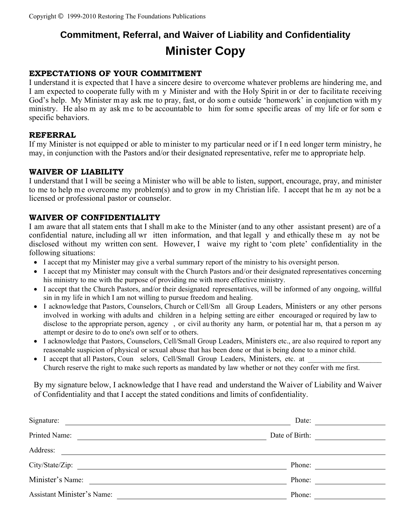# **Commitment, Referral, and Waiver of Liability and Confidentiality Minister Copy**

#### **EXPECTATIONS OF YOUR COMMITMENT**

I understand it is expected that I have a sincere desire to overcome whatever problems are hindering me, and I am expected to cooperate fully with m y Minister and with the Holy Spirit in or der to facilitate receiving God's help. My Minister m ay ask me to pray, fast, or do som e outside 'homework' in conjunction with my ministry. He also m ay ask me to be accountable to him for some specific areas of my life or for some specific behaviors.

#### **REFERRAL**

If my Minister is not equipped or able to minister to my particular need or if I n eed longer term ministry, he may, in conjunction with the Pastors and/or their designated representative, refer me to appropriate help.

#### **WAIVER OF LIABILITY**

I understand that I will be seeing a Minister who will be able to listen, support, encourage, pray, and minister to me to help me overcome my problem(s) and to grow in my Christian life. I accept that he m ay not be a licensed or professional pastor or counselor.

#### **WAIVER OF CONFIDENTIALITY**

I am aware that all statem ents that I shall m ake to the Minister (and to any other assistant present) are of a confidential nature, including all wr itten information, and that legall y and ethically these m ay not be disclosed without my written con sent. However, I waive my right to 'com plete' confidentiality in the following situations:

- I accept that my Minister may give a verbal summary report of the ministry to his oversight person.
- I accept that my Minister may consult with the Church Pastors and/or their designated representatives concerning his ministry to me with the purpose of providing me with more effective ministry.
- I accept that the Church Pastors, and/or their designated representatives, will be informed of any ongoing, willful sin in my life in which I am not willing to pursue freedom and healing.
- I acknowledge that Pastors, Counselors, Church or Cell/Sm all Group Leaders, Ministers or any other persons involved in working with adults and children in a helping setting are either encouraged or required by law to disclose to the appropriate person, agency, or civil au thority any harm, or potential har m, that a person m ay attempt or desire to do to one's own self or to others.
- I acknowledge that Pastors, Counselors, Cell/Small Group Leaders, Ministers etc., are also required to report any reasonable suspicion of physical or sexual abuse that has been done or that is being done to a minor child.
- I accept that all Pastors, Coun selors, Cell/Small Group Leaders, Ministers, etc. at Church reserve the right to make such reports as mandated by law whether or not they confer with me first.

By my signature below, I acknowledge that I have read and understand the Waiver of Liability and Waiver of Confidentiality and that I accept the stated conditions and limits of confidentiality.

| Signature:                        | Date:          |  |
|-----------------------------------|----------------|--|
| Printed Name:                     | Date of Birth: |  |
| Address:                          |                |  |
|                                   | Phone:         |  |
| Minister's Name:                  | Phone:         |  |
| <b>Assistant Minister's Name:</b> | Phone:         |  |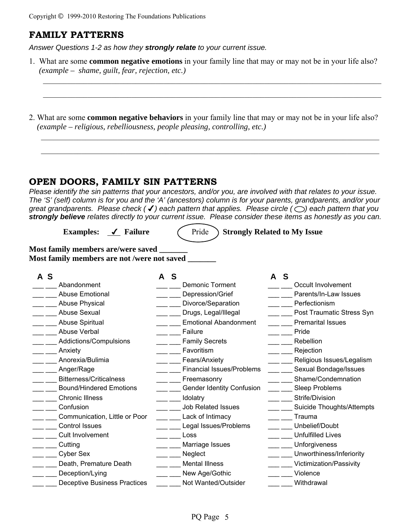# **FAMILY PATTERNS**

*Answer Questions 1-2 as how they strongly relate to your current issue.* 

1. What are some **common negative emotions** in your family line that may or may not be in your life also?  *(example – shame, guilt, fear, rejection, etc.)* 

 $\mathcal{L}_\text{max}$  , and the contribution of the contribution of the contribution of the contribution of the contribution of the contribution of the contribution of the contribution of the contribution of the contribution of t

 $\mathcal{L}_\text{max}$  , and the contribution of the contribution of the contribution of the contribution of the contribution of the contribution of the contribution of the contribution of the contribution of the contribution of t

2. What are some **common negative behaviors** in your family line that may or may not be in your life also?  *(example – religious, rebelliousness, people pleasing, controlling, etc.)* 

 $\mathcal{L}_\text{max}$  , and the contribution of the contribution of the contribution of the contribution of the contribution of the contribution of the contribution of the contribution of the contribution of the contribution of t

 $\mathcal{L}_\text{max}$  , and the contribution of the contribution of the contribution of the contribution of the contribution of the contribution of the contribution of the contribution of the contribution of the contribution of t

# **OPEN DOORS, FAMILY SIN PATTERNS**

*Please identify the sin patterns that your ancestors, and/or you, are involved with that relates to your issue. The 'S' (self) column is for you and the 'A' (ancestors) column is for your parents, grandparents, and/or your great grandparents. Please check ( ) each pattern that applies. Please circle ( ) each pattern that you strongly believe relates directly to your current issue. Please consider these items as honestly as you can.* 

| Examples: $\checkmark$ Failure                                                      | Pride > Strongly Related to My Issue |
|-------------------------------------------------------------------------------------|--------------------------------------|
| Most family members are/were saved g<br>Most family members are not /were not saved |                                      |

| A S |                                     | A | S |                                  | A | -S |                           |
|-----|-------------------------------------|---|---|----------------------------------|---|----|---------------------------|
|     | Abandonment                         |   |   | Demonic Torment                  |   |    | Occult Involvement        |
|     | <b>Abuse Emotional</b>              |   |   | Depression/Grief                 |   |    | Parents/In-Law Issues     |
|     | <b>Abuse Physical</b>               |   |   | Divorce/Separation               |   |    | Perfectionism             |
|     | Abuse Sexual                        |   |   | Drugs, Legal/Illegal             |   |    | Post Traumatic Stress Syn |
|     | Abuse Spiritual                     |   |   | <b>Emotional Abandonment</b>     |   |    | <b>Premarital Issues</b>  |
|     | Abuse Verbal                        |   |   | Failure                          |   |    | Pride                     |
|     | Addictions/Compulsions              |   |   | <b>Family Secrets</b>            |   |    | Rebellion                 |
|     | Anxiety                             |   |   | Favoritism                       |   |    | Rejection                 |
|     | Anorexia/Bulimia                    |   |   | Fears/Anxiety                    |   |    | Religious Issues/Legalism |
|     | Anger/Rage                          |   |   | <b>Financial Issues/Problems</b> |   |    | Sexual Bondage/Issues     |
|     | <b>Bitterness/Criticalness</b>      |   |   | Freemasonry                      |   |    | Shame/Condemnation        |
|     | <b>Bound/Hindered Emotions</b>      |   |   | <b>Gender Identity Confusion</b> |   |    | <b>Sleep Problems</b>     |
|     | <b>Chronic Illness</b>              |   |   | Idolatry                         |   |    | Strife/Division           |
|     | Confusion                           |   |   | <b>Job Related Issues</b>        |   |    | Suicide Thoughts/Attempts |
|     | Communication, Little or Poor       |   |   | Lack of Intimacy                 |   |    | Trauma                    |
|     | <b>Control Issues</b>               |   |   | Legal Issues/Problems            |   |    | Unbelief/Doubt            |
|     | Cult Involvement                    |   |   | Loss                             |   |    | <b>Unfulfilled Lives</b>  |
|     | Cutting                             |   |   | Marriage Issues                  |   |    | <b>Unforgiveness</b>      |
|     | Cyber Sex                           |   |   | Neglect                          |   |    | Unworthiness/Inferiority  |
|     | Death, Premature Death              |   |   | <b>Mental Illness</b>            |   |    | Victimization/Passivity   |
|     | Deception/Lying                     |   |   | New Age/Gothic                   |   |    | Violence                  |
|     | <b>Deceptive Business Practices</b> |   |   | Not Wanted/Outsider              |   |    | Withdrawal                |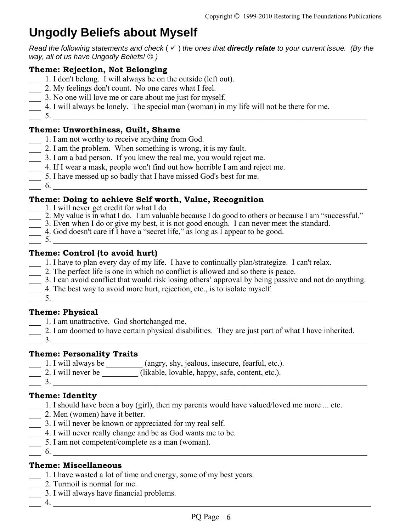# **Ungodly Beliefs about Myself**

*Read the following statements and check (√) the ones that <i>directly relate* to your current issue. (By the *way, all of us have Ungodly Beliefs!* ☺ *)* 

### **Theme: Rejection, Not Belonging**

- 1. I don't belong. I will always be on the outside (left out).
- \_\_\_ 2. My feelings don't count. No one cares what I feel.
- \_\_\_ 3. No one will love me or care about me just for myself.
- \_\_\_ 4. I will always be lonely. The special man (woman) in my life will not be there for me.
- $\frac{5}{2}$

### **Theme: Unworthiness, Guilt, Shame**

- \_\_\_ 1. I am not worthy to receive anything from God.
- 2. I am the problem. When something is wrong, it is my fault.
- \_\_\_ 3. I am a bad person. If you knew the real me, you would reject me.
- 4. If I wear a mask, people won't find out how horrible I am and reject me.
- \_\_\_ 5. I have messed up so badly that I have missed God's best for me.
- $\frac{6}{2}$

#### **Theme: Doing to achieve Self worth, Value, Recognition**

- \_\_\_ 1. I will never get credit for what I do
- \_\_\_ 2. My value is in what I do. I am valuable because I do good to others or because I am "successful."
- \_\_\_ 3. Even when I do or give my best, it is not good enough. I can never meet the standard.
- \_\_\_ 4. God doesn't care if I have a "secret life," as long as I appear to be good. \_\_\_ 5. \_\_\_\_\_\_\_\_\_\_\_\_\_\_\_\_\_\_\_\_\_\_\_\_\_\_\_\_\_\_\_\_\_\_\_\_\_\_\_\_\_\_\_\_\_\_\_\_\_\_\_\_\_\_\_\_\_\_\_\_\_\_\_\_\_\_\_\_\_\_\_\_\_\_\_\_\_\_

### **Theme: Control (to avoid hurt)**

- \_\_\_ 1. I have to plan every day of my life. I have to continually plan/strategize. I can't relax.
- \_\_\_ 2. The perfect life is one in which no conflict is allowed and so there is peace.
- \_\_\_ 3. I can avoid conflict that would risk losing others' approval by being passive and not do anything.
- \_\_\_ 4. The best way to avoid more hurt, rejection, etc., is to isolate myself.
- \_\_\_ 5. \_\_\_\_\_\_\_\_\_\_\_\_\_\_\_\_\_\_\_\_\_\_\_\_\_\_\_\_\_\_\_\_\_\_\_\_\_\_\_\_\_\_\_\_\_\_\_\_\_\_\_\_\_\_\_\_\_\_\_\_\_\_\_\_\_\_\_\_\_\_\_\_\_\_\_\_\_\_

### **Theme: Physical**

- \_\_\_ 1. I am unattractive. God shortchanged me.
- \_\_\_ 2. I am doomed to have certain physical disabilities. They are just part of what I have inherited.
- $\frac{3.}{2}$

### **Theme: Personality Traits**

- \_\_\_ 1. I will always be \_\_\_\_\_\_\_\_\_ (angry, shy, jealous, insecure, fearful, etc.).
- 2. I will never be \_\_\_\_\_\_\_\_\_\_ (likable, lovable, happy, safe, content, etc.).
- $\frac{3.}{2}$

### **Theme: Identity**

- 1. I should have been a boy (girl), then my parents would have valued/loved me more ... etc.
- \_\_\_ 2. Men (women) have it better.
- \_\_\_ 3. I will never be known or appreciated for my real self.
- \_\_\_ 4. I will never really change and be as God wants me to be.
- 5. I am not competent/complete as a man (woman).
- $\bullet$ .

# **Theme: Miscellaneous**

- \_\_\_ 1. I have wasted a lot of time and energy, some of my best years.
- \_\_\_ 2. Turmoil is normal for me.
- \_\_\_ 3. I will always have financial problems.
- $4.$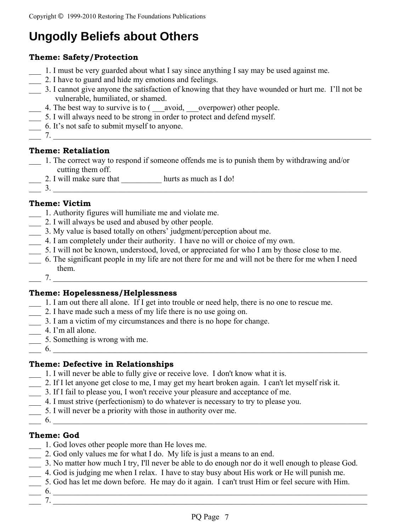# **Ungodly Beliefs about Others**

#### **Theme: Safety/Protection**

- \_\_\_ 1. I must be very guarded about what I say since anything I say may be used against me.
- \_\_\_ 2. I have to guard and hide my emotions and feelings.
- \_\_\_ 3. I cannot give anyone the satisfaction of knowing that they have wounded or hurt me. I'll not be vulnerable, humiliated, or shamed.
- \_\_\_ 4. The best way to survive is to ( \_\_\_avoid, \_\_\_overpower) other people.
- \_\_\_ 5. I will always need to be strong in order to protect and defend myself.
- \_\_\_ 6. It's not safe to submit myself to anyone.
- $\frac{1}{\sqrt{2\pi}}$  ,  $\frac{1}{\sqrt{2\pi}}$  ,  $\frac{1}{\sqrt{2\pi}}$  ,  $\frac{1}{\sqrt{2\pi}}$  ,  $\frac{1}{\sqrt{2\pi}}$  ,  $\frac{1}{\sqrt{2\pi}}$  ,  $\frac{1}{\sqrt{2\pi}}$  ,  $\frac{1}{\sqrt{2\pi}}$  ,  $\frac{1}{\sqrt{2\pi}}$  ,  $\frac{1}{\sqrt{2\pi}}$  ,  $\frac{1}{\sqrt{2\pi}}$  ,  $\frac{1}{\sqrt{2\pi}}$  ,  $\frac{1}{\sqrt{2\pi}}$  ,

#### **Theme: Retaliation**

- \_\_\_ 1. The correct way to respond if someone offends me is to punish them by withdrawing and/or cutting them off.
- \_\_\_ 2. I will make sure that \_\_\_\_\_\_\_\_\_\_ hurts as much as I do!
- $3.$

#### **Theme: Victim**

- \_\_\_ 1. Authority figures will humiliate me and violate me.
- \_\_\_ 2. I will always be used and abused by other people.
- \_\_\_ 3. My value is based totally on others' judgment/perception about me.
- \_\_\_ 4. I am completely under their authority. I have no will or choice of my own.
- \_\_\_ 5. I will not be known, understood, loved, or appreciated for who I am by those close to me.
- \_\_\_ 6. The significant people in my life are not there for me and will not be there for me when I need them.
- $7.$

#### **Theme: Hopelessness/Helplessness**

- $\frac{1}{\sqrt{1-\mu}}$  1. I am out there all alone. If I get into trouble or need help, there is no one to rescue me.
- \_\_\_ 2. I have made such a mess of my life there is no use going on.
- \_\_\_ 3. I am a victim of my circumstances and there is no hope for change.
- \_\_\_ 4. I'm all alone.
- \_\_\_ 5. Something is wrong with me.
- $6.$

#### **Theme: Defective in Relationships**

- \_\_\_ 1. I will never be able to fully give or receive love. I don't know what it is.
- \_\_\_ 2. If I let anyone get close to me, I may get my heart broken again. I can't let myself risk it.
- \_\_\_ 3. If I fail to please you, I won't receive your pleasure and acceptance of me.
- \_\_\_ 4. I must strive (perfectionism) to do whatever is necessary to try to please you.
- \_\_\_ 5. I will never be a priority with those in authority over me.
- \_\_\_ 6. \_\_\_\_\_\_\_\_\_\_\_\_\_\_\_\_\_\_\_\_\_\_\_\_\_\_\_\_\_\_\_\_\_\_\_\_\_\_\_\_\_\_\_\_\_\_\_\_\_\_\_\_\_\_\_\_\_\_\_\_\_\_\_\_\_\_\_\_\_\_\_\_\_\_\_\_\_\_

### **Theme: God**

- \_\_\_ 1. God loves other people more than He loves me.
- \_\_\_ 2. God only values me for what I do. My life is just a means to an end.
- \_\_\_ 3. No matter how much I try, I'll never be able to do enough nor do it well enough to please God.
- \_\_\_ 4. God is judging me when I relax. I have to stay busy about His work or He will punish me.
- 5. God has let me down before. He may do it again. I can't trust Him or feel secure with Him.
- $\_\_$  6.  $\_\_$
- **7**.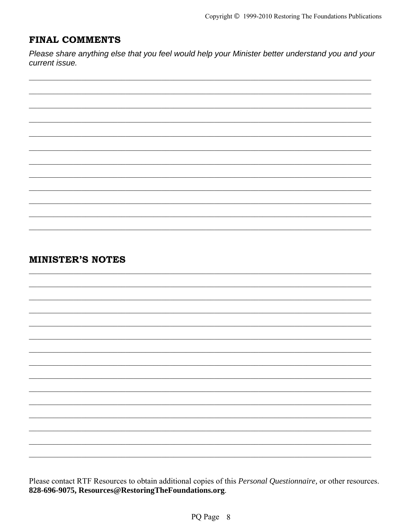# **FINAL COMMENTS**

Please share anything else that you feel would help your Minister better understand you and your current issue.

# **MINISTER'S NOTES**

Please contact RTF Resources to obtain additional copies of this Personal Questionnaire, or other resources. 828-696-9075, Resources@RestoringTheFoundations.org.